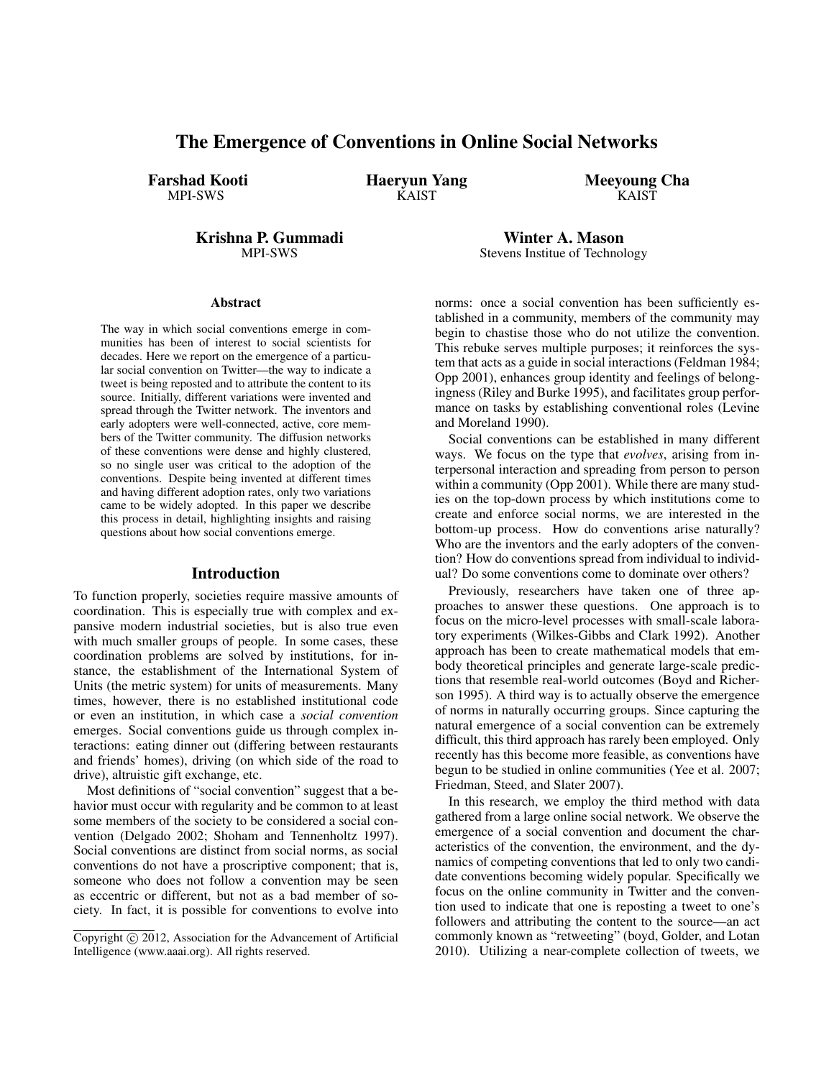# The Emergence of Conventions in Online Social Networks

Farshad Kooti MPI-SWS

Haeryun Yang **KAIST** 

Meeyoung Cha **KAIST** 

Krishna P. Gummadi MPI-SWS

#### Abstract

The way in which social conventions emerge in communities has been of interest to social scientists for decades. Here we report on the emergence of a particular social convention on Twitter—the way to indicate a tweet is being reposted and to attribute the content to its source. Initially, different variations were invented and spread through the Twitter network. The inventors and early adopters were well-connected, active, core members of the Twitter community. The diffusion networks of these conventions were dense and highly clustered, so no single user was critical to the adoption of the conventions. Despite being invented at different times and having different adoption rates, only two variations came to be widely adopted. In this paper we describe this process in detail, highlighting insights and raising questions about how social conventions emerge.

#### Introduction

To function properly, societies require massive amounts of coordination. This is especially true with complex and expansive modern industrial societies, but is also true even with much smaller groups of people. In some cases, these coordination problems are solved by institutions, for instance, the establishment of the International System of Units (the metric system) for units of measurements. Many times, however, there is no established institutional code or even an institution, in which case a *social convention* emerges. Social conventions guide us through complex interactions: eating dinner out (differing between restaurants and friends' homes), driving (on which side of the road to drive), altruistic gift exchange, etc.

Most definitions of "social convention" suggest that a behavior must occur with regularity and be common to at least some members of the society to be considered a social convention (Delgado 2002; Shoham and Tennenholtz 1997). Social conventions are distinct from social norms, as social conventions do not have a proscriptive component; that is, someone who does not follow a convention may be seen as eccentric or different, but not as a bad member of society. In fact, it is possible for conventions to evolve into norms: once a social convention has been sufficiently established in a community, members of the community may begin to chastise those who do not utilize the convention. This rebuke serves multiple purposes; it reinforces the system that acts as a guide in social interactions (Feldman 1984; Opp 2001), enhances group identity and feelings of belongingness (Riley and Burke 1995), and facilitates group performance on tasks by establishing conventional roles (Levine and Moreland 1990).

Winter A. Mason Stevens Institue of Technology

Social conventions can be established in many different ways. We focus on the type that *evolves*, arising from interpersonal interaction and spreading from person to person within a community (Opp 2001). While there are many studies on the top-down process by which institutions come to create and enforce social norms, we are interested in the bottom-up process. How do conventions arise naturally? Who are the inventors and the early adopters of the convention? How do conventions spread from individual to individual? Do some conventions come to dominate over others?

Previously, researchers have taken one of three approaches to answer these questions. One approach is to focus on the micro-level processes with small-scale laboratory experiments (Wilkes-Gibbs and Clark 1992). Another approach has been to create mathematical models that embody theoretical principles and generate large-scale predictions that resemble real-world outcomes (Boyd and Richerson 1995). A third way is to actually observe the emergence of norms in naturally occurring groups. Since capturing the natural emergence of a social convention can be extremely difficult, this third approach has rarely been employed. Only recently has this become more feasible, as conventions have begun to be studied in online communities (Yee et al. 2007; Friedman, Steed, and Slater 2007).

In this research, we employ the third method with data gathered from a large online social network. We observe the emergence of a social convention and document the characteristics of the convention, the environment, and the dynamics of competing conventions that led to only two candidate conventions becoming widely popular. Specifically we focus on the online community in Twitter and the convention used to indicate that one is reposting a tweet to one's followers and attributing the content to the source—an act commonly known as "retweeting" (boyd, Golder, and Lotan 2010). Utilizing a near-complete collection of tweets, we

Copyright  $\odot$  2012, Association for the Advancement of Artificial Intelligence (www.aaai.org). All rights reserved.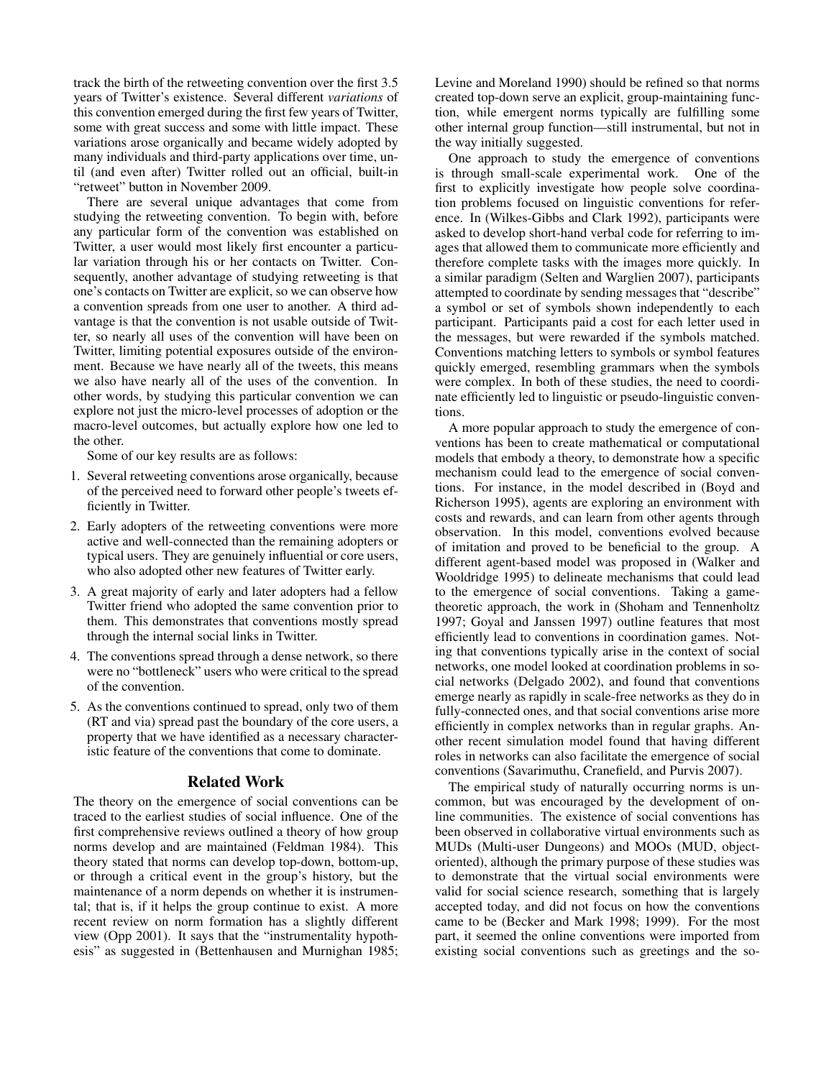track the birth of the retweeting convention over the first 3.5 years of Twitter's existence. Several different *variations* of this convention emerged during the first few years of Twitter, some with great success and some with little impact. These variations arose organically and became widely adopted by many individuals and third-party applications over time, until (and even after) Twitter rolled out an official, built-in "retweet" button in November 2009.

There are several unique advantages that come from studying the retweeting convention. To begin with, before any particular form of the convention was established on Twitter, a user would most likely first encounter a particular variation through his or her contacts on Twitter. Consequently, another advantage of studying retweeting is that one's contacts on Twitter are explicit, so we can observe how a convention spreads from one user to another. A third advantage is that the convention is not usable outside of Twitter, so nearly all uses of the convention will have been on Twitter, limiting potential exposures outside of the environment. Because we have nearly all of the tweets, this means we also have nearly all of the uses of the convention. In other words, by studying this particular convention we can explore not just the micro-level processes of adoption or the macro-level outcomes, but actually explore how one led to the other.

Some of our key results are as follows:

- 1. Several retweeting conventions arose organically, because of the perceived need to forward other people's tweets efficiently in Twitter.
- 2. Early adopters of the retweeting conventions were more active and well-connected than the remaining adopters or typical users. They are genuinely influential or core users, who also adopted other new features of Twitter early.
- 3. A great majority of early and later adopters had a fellow Twitter friend who adopted the same convention prior to them. This demonstrates that conventions mostly spread through the internal social links in Twitter.
- 4. The conventions spread through a dense network, so there were no "bottleneck" users who were critical to the spread of the convention.
- 5. As the conventions continued to spread, only two of them (RT and via) spread past the boundary of the core users, a property that we have identified as a necessary characteristic feature of the conventions that come to dominate.

#### Related Work

The theory on the emergence of social conventions can be traced to the earliest studies of social influence. One of the first comprehensive reviews outlined a theory of how group norms develop and are maintained (Feldman 1984). This theory stated that norms can develop top-down, bottom-up, or through a critical event in the group's history, but the maintenance of a norm depends on whether it is instrumental; that is, if it helps the group continue to exist. A more recent review on norm formation has a slightly different view (Opp 2001). It says that the "instrumentality hypothesis" as suggested in (Bettenhausen and Murnighan 1985; Levine and Moreland 1990) should be refined so that norms created top-down serve an explicit, group-maintaining function, while emergent norms typically are fulfilling some other internal group function—still instrumental, but not in the way initially suggested.

One approach to study the emergence of conventions is through small-scale experimental work. One of the first to explicitly investigate how people solve coordination problems focused on linguistic conventions for reference. In (Wilkes-Gibbs and Clark 1992), participants were asked to develop short-hand verbal code for referring to images that allowed them to communicate more efficiently and therefore complete tasks with the images more quickly. In a similar paradigm (Selten and Warglien 2007), participants attempted to coordinate by sending messages that "describe" a symbol or set of symbols shown independently to each participant. Participants paid a cost for each letter used in the messages, but were rewarded if the symbols matched. Conventions matching letters to symbols or symbol features quickly emerged, resembling grammars when the symbols were complex. In both of these studies, the need to coordinate efficiently led to linguistic or pseudo-linguistic conventions.

A more popular approach to study the emergence of conventions has been to create mathematical or computational models that embody a theory, to demonstrate how a specific mechanism could lead to the emergence of social conventions. For instance, in the model described in (Boyd and Richerson 1995), agents are exploring an environment with costs and rewards, and can learn from other agents through observation. In this model, conventions evolved because of imitation and proved to be beneficial to the group. A different agent-based model was proposed in (Walker and Wooldridge 1995) to delineate mechanisms that could lead to the emergence of social conventions. Taking a gametheoretic approach, the work in (Shoham and Tennenholtz 1997; Goyal and Janssen 1997) outline features that most efficiently lead to conventions in coordination games. Noting that conventions typically arise in the context of social networks, one model looked at coordination problems in social networks (Delgado 2002), and found that conventions emerge nearly as rapidly in scale-free networks as they do in fully-connected ones, and that social conventions arise more efficiently in complex networks than in regular graphs. Another recent simulation model found that having different roles in networks can also facilitate the emergence of social conventions (Savarimuthu, Cranefield, and Purvis 2007).

The empirical study of naturally occurring norms is uncommon, but was encouraged by the development of online communities. The existence of social conventions has been observed in collaborative virtual environments such as MUDs (Multi-user Dungeons) and MOOs (MUD, objectoriented), although the primary purpose of these studies was to demonstrate that the virtual social environments were valid for social science research, something that is largely accepted today, and did not focus on how the conventions came to be (Becker and Mark 1998; 1999). For the most part, it seemed the online conventions were imported from existing social conventions such as greetings and the so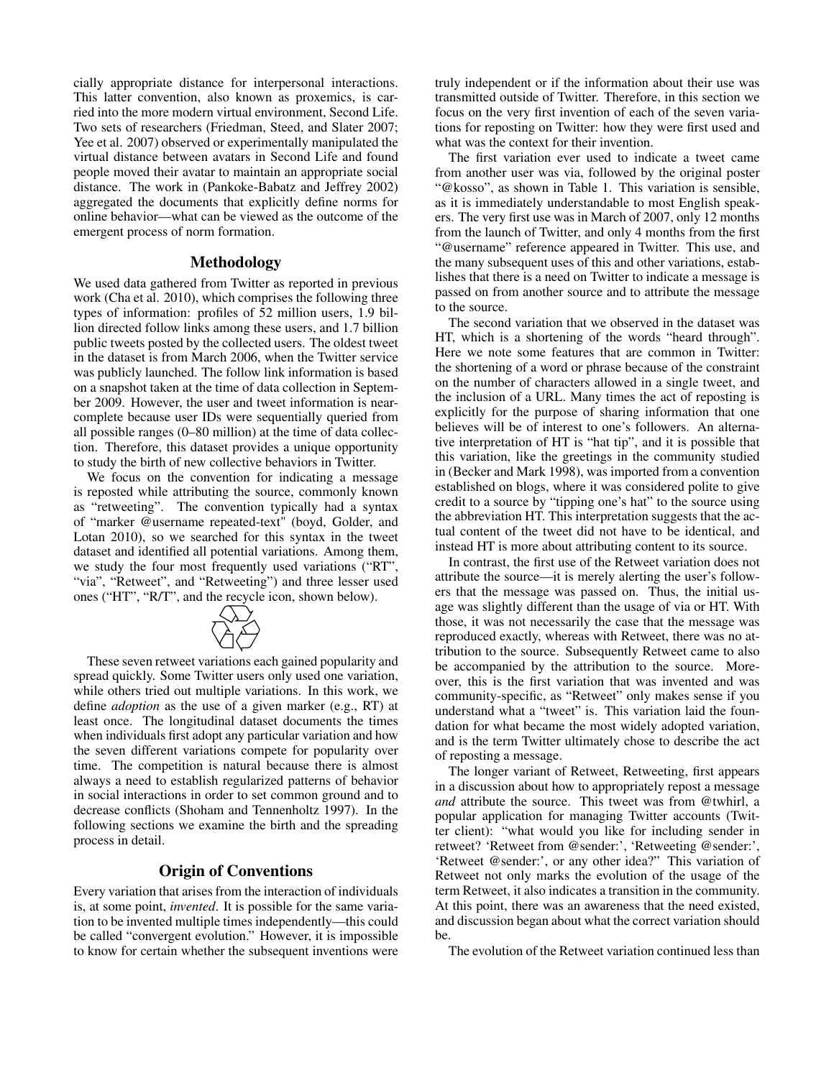cially appropriate distance for interpersonal interactions. This latter convention, also known as proxemics, is carried into the more modern virtual environment, Second Life. Two sets of researchers (Friedman, Steed, and Slater 2007; Yee et al. 2007) observed or experimentally manipulated the virtual distance between avatars in Second Life and found people moved their avatar to maintain an appropriate social distance. The work in (Pankoke-Babatz and Jeffrey 2002) aggregated the documents that explicitly define norms for online behavior—what can be viewed as the outcome of the emergent process of norm formation.

### Methodology

We used data gathered from Twitter as reported in previous work (Cha et al. 2010), which comprises the following three types of information: profiles of 52 million users, 1.9 billion directed follow links among these users, and 1.7 billion public tweets posted by the collected users. The oldest tweet in the dataset is from March 2006, when the Twitter service was publicly launched. The follow link information is based on a snapshot taken at the time of data collection in September 2009. However, the user and tweet information is nearcomplete because user IDs were sequentially queried from all possible ranges (0–80 million) at the time of data collection. Therefore, this dataset provides a unique opportunity to study the birth of new collective behaviors in Twitter.

We focus on the convention for indicating a message is reposted while attributing the source, commonly known as "retweeting". The convention typically had a syntax of "marker @username repeated-text" (boyd, Golder, and Lotan 2010), so we searched for this syntax in the tweet dataset and identified all potential variations. Among them, we study the four most frequently used variations ("RT", we study the four most frequently used variations  $(\kappa_1^2, \kappa_2^2)$ <br>
"via", "Retweet", and "Retweeting") and three lesser used<br>
ones ("HT", "R/T", and the recycle ison, shown below). ones ("HT", "R/T", and the recycle icon, shown below).



These seven retweet variations each gained popularity and spread quickly. Some Twitter users only used one variation, while others tried out multiple variations. In this work, we define *adoption* as the use of a given marker (e.g., RT) at least once. The longitudinal dataset documents the times when individuals first adopt any particular variation and how the seven different variations compete for popularity over time. The competition is natural because there is almost always a need to establish regularized patterns of behavior in social interactions in order to set common ground and to decrease conflicts (Shoham and Tennenholtz 1997). In the following sections we examine the birth and the spreading process in detail.

# Origin of Conventions

Every variation that arises from the interaction of individuals is, at some point, *invented*. It is possible for the same variation to be invented multiple times independently—this could be called "convergent evolution." However, it is impossible to know for certain whether the subsequent inventions were

truly independent or if the information about their use was transmitted outside of Twitter. Therefore, in this section we focus on the very first invention of each of the seven variations for reposting on Twitter: how they were first used and what was the context for their invention.

The first variation ever used to indicate a tweet came from another user was via, followed by the original poster "@kosso", as shown in Table 1. This variation is sensible, as it is immediately understandable to most English speakers. The very first use was in March of 2007, only 12 months from the launch of Twitter, and only 4 months from the first "@username" reference appeared in Twitter. This use, and the many subsequent uses of this and other variations, establishes that there is a need on Twitter to indicate a message is passed on from another source and to attribute the message to the source.

The second variation that we observed in the dataset was HT, which is a shortening of the words "heard through". Here we note some features that are common in Twitter: the shortening of a word or phrase because of the constraint on the number of characters allowed in a single tweet, and the inclusion of a URL. Many times the act of reposting is explicitly for the purpose of sharing information that one believes will be of interest to one's followers. An alternative interpretation of HT is "hat tip", and it is possible that this variation, like the greetings in the community studied in (Becker and Mark 1998), was imported from a convention established on blogs, where it was considered polite to give credit to a source by "tipping one's hat" to the source using the abbreviation HT. This interpretation suggests that the actual content of the tweet did not have to be identical, and instead HT is more about attributing content to its source.

In contrast, the first use of the Retweet variation does not attribute the source—it is merely alerting the user's followers that the message was passed on. Thus, the initial usage was slightly different than the usage of via or HT. With those, it was not necessarily the case that the message was reproduced exactly, whereas with Retweet, there was no attribution to the source. Subsequently Retweet came to also be accompanied by the attribution to the source. Moreover, this is the first variation that was invented and was community-specific, as "Retweet" only makes sense if you understand what a "tweet" is. This variation laid the foundation for what became the most widely adopted variation, and is the term Twitter ultimately chose to describe the act of reposting a message.

The longer variant of Retweet, Retweeting, first appears in a discussion about how to appropriately repost a message *and* attribute the source. This tweet was from @twhirl, a popular application for managing Twitter accounts (Twitter client): "what would you like for including sender in retweet? 'Retweet from @sender:', 'Retweeting @sender:', 'Retweet @sender:', or any other idea?" This variation of Retweet not only marks the evolution of the usage of the term Retweet, it also indicates a transition in the community. At this point, there was an awareness that the need existed, and discussion began about what the correct variation should be.

The evolution of the Retweet variation continued less than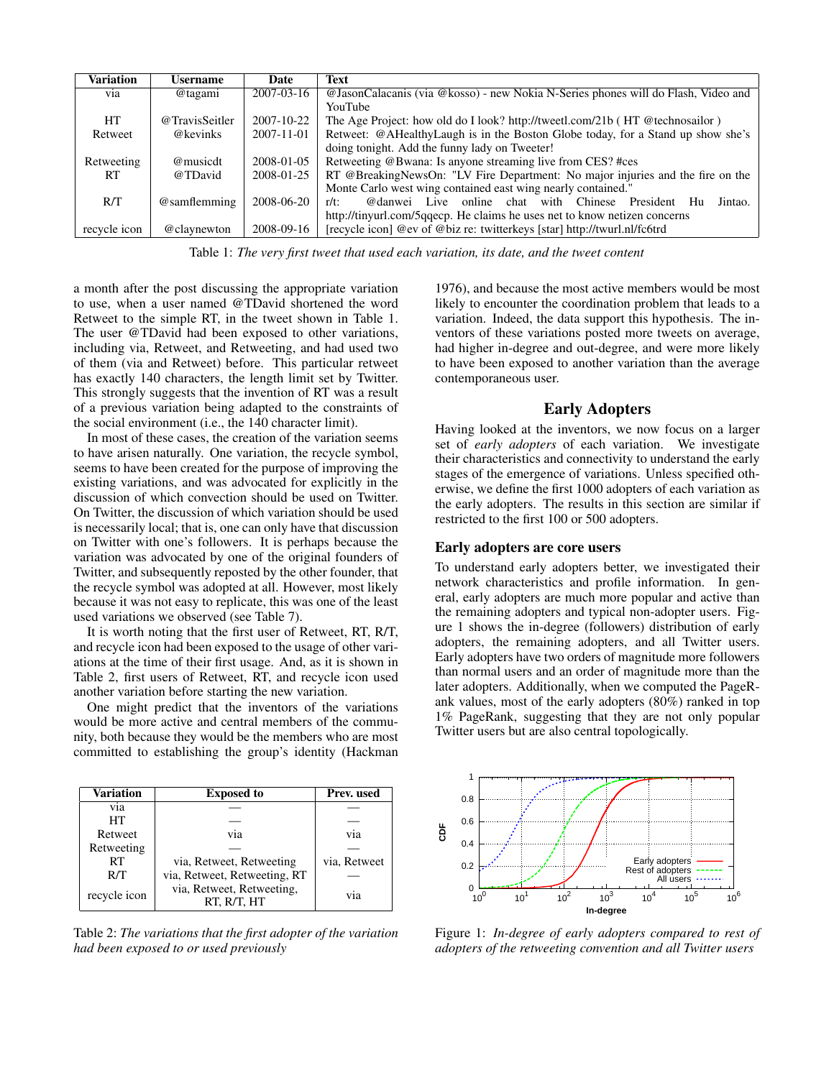| <b>Variation</b> | Username       | Date       | Text                                                                              |  |  |
|------------------|----------------|------------|-----------------------------------------------------------------------------------|--|--|
| via              | @tagami        | 2007-03-16 | @JasonCalacanis (via @kosso) - new Nokia N-Series phones will do Flash, Video and |  |  |
|                  |                |            | YouTube                                                                           |  |  |
| HT               | @TravisSeitler | 2007-10-22 | The Age Project: how old do I look? http://tweetl.com/21b (HT @technosailor)      |  |  |
| Retweet          | @kevinks       | 2007-11-01 | Retweet: @AHealthyLaugh is in the Boston Globe today, for a Stand up show she's   |  |  |
|                  |                |            | doing tonight. Add the funny lady on Tweeter!                                     |  |  |
| Retweeting       | @musicdt       | 2008-01-05 | Retweeting @Bwana: Is anyone streaming live from CES? #ces                        |  |  |
| <b>RT</b>        | @TDavid        | 2008-01-25 | RT @BreakingNewsOn: "LV Fire Department: No major injuries and the fire on the    |  |  |
|                  |                |            | Monte Carlo west wing contained east wing nearly contained."                      |  |  |
| R/T              | @samflemming   | 2008-06-20 | @danwei Live online<br>chat with Chinese<br>President<br>Jintao.<br>Hu<br>$r/t$ : |  |  |
|                  |                |            | http://tinyurl.com/5qqecp. He claims he uses net to know netizen concerns         |  |  |
| recycle icon     | @claynewton    | 2008-09-16 | [recycle icon] @ev of @biz re: twitterkeys [star] http://twurl.nl/fc6trd          |  |  |

Table 1: *The very first tweet that used each variation, its date, and the tweet content*

a month after the post discussing the appropriate variation to use, when a user named @TDavid shortened the word Retweet to the simple RT, in the tweet shown in Table 1. The user @TDavid had been exposed to other variations, including via, Retweet, and Retweeting, and had used two of them (via and Retweet) before. This particular retweet has exactly 140 characters, the length limit set by Twitter. This strongly suggests that the invention of RT was a result of a previous variation being adapted to the constraints of the social environment (i.e., the 140 character limit).

In most of these cases, the creation of the variation seems to have arisen naturally. One variation, the recycle symbol, seems to have been created for the purpose of improving the existing variations, and was advocated for explicitly in the discussion of which convection should be used on Twitter. On Twitter, the discussion of which variation should be used is necessarily local; that is, one can only have that discussion on Twitter with one's followers. It is perhaps because the variation was advocated by one of the original founders of Twitter, and subsequently reposted by the other founder, that the recycle symbol was adopted at all. However, most likely because it was not easy to replicate, this was one of the least used variations we observed (see Table 7).

It is worth noting that the first user of Retweet, RT, R/T, and recycle icon had been exposed to the usage of other variations at the time of their first usage. And, as it is shown in Table 2, first users of Retweet, RT, and recycle icon used another variation before starting the new variation.

One might predict that the inventors of the variations would be more active and central members of the community, both because they would be the members who are most committed to establishing the group's identity (Hackman

| Variation    | <b>Exposed to</b>                        | Prev. used   |
|--------------|------------------------------------------|--------------|
| via          |                                          |              |
| HТ           |                                          |              |
| Retweet      | V1a                                      | via          |
| Retweeting   |                                          |              |
| RT           | via, Retweet, Retweeting                 | via, Retweet |
| R/T          | via, Retweet, Retweeting, RT             |              |
| recycle icon | via, Retweet, Retweeting,<br>RT, R/T, HT | via          |

Table 2: *The variations that the first adopter of the variation had been exposed to or used previously*

1976), and because the most active members would be most likely to encounter the coordination problem that leads to a variation. Indeed, the data support this hypothesis. The inventors of these variations posted more tweets on average, had higher in-degree and out-degree, and were more likely to have been exposed to another variation than the average contemporaneous user.

#### Early Adopters

Having looked at the inventors, we now focus on a larger set of *early adopters* of each variation. We investigate their characteristics and connectivity to understand the early stages of the emergence of variations. Unless specified otherwise, we define the first 1000 adopters of each variation as the early adopters. The results in this section are similar if restricted to the first 100 or 500 adopters.

#### Early adopters are core users

To understand early adopters better, we investigated their network characteristics and profile information. In general, early adopters are much more popular and active than the remaining adopters and typical non-adopter users. Figure 1 shows the in-degree (followers) distribution of early adopters, the remaining adopters, and all Twitter users. Early adopters have two orders of magnitude more followers than normal users and an order of magnitude more than the later adopters. Additionally, when we computed the PageRank values, most of the early adopters (80%) ranked in top 1% PageRank, suggesting that they are not only popular Twitter users but are also central topologically.



Figure 1: *In-degree of early adopters compared to rest of adopters of the retweeting convention and all Twitter users*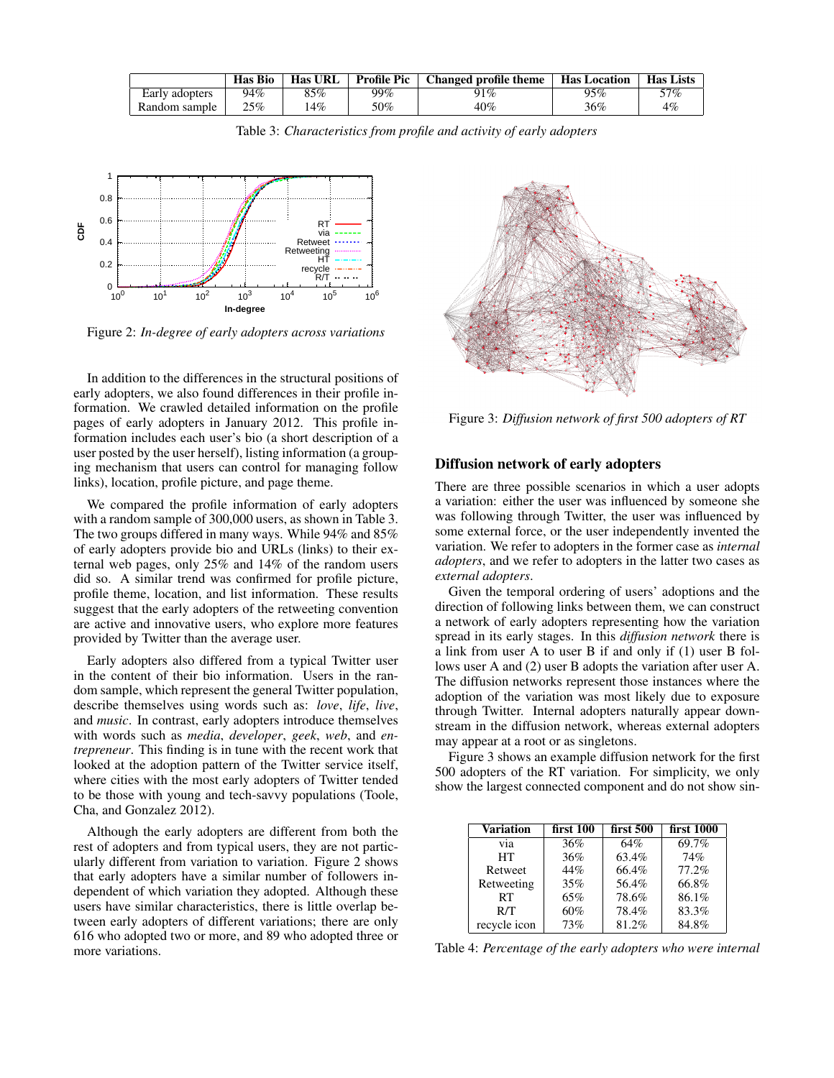|                | Has Bio | <b>Has URL</b> | <b>Profile Pic</b> | Changed profile theme | <b>Has Location</b> | Has Lists |
|----------------|---------|----------------|--------------------|-----------------------|---------------------|-----------|
| Early adopters | 94%     | 85%            | 99%                | 91%                   | 95%                 | 57%       |
| Random sample  | 25%     | 14%            | 50%                | 40%                   | 36%                 | 4%        |

Table 3: *Characteristics from profile and activity of early adopters*



Figure 2: *In-degree of early adopters across variations*

In addition to the differences in the structural positions of early adopters, we also found differences in their profile information. We crawled detailed information on the profile pages of early adopters in January 2012. This profile information includes each user's bio (a short description of a user posted by the user herself), listing information (a grouping mechanism that users can control for managing follow links), location, profile picture, and page theme.

We compared the profile information of early adopters with a random sample of 300,000 users, as shown in Table 3. The two groups differed in many ways. While 94% and 85% of early adopters provide bio and URLs (links) to their external web pages, only 25% and 14% of the random users did so. A similar trend was confirmed for profile picture, profile theme, location, and list information. These results suggest that the early adopters of the retweeting convention are active and innovative users, who explore more features provided by Twitter than the average user.

Early adopters also differed from a typical Twitter user in the content of their bio information. Users in the random sample, which represent the general Twitter population, describe themselves using words such as: *love*, *life*, *live*, and *music*. In contrast, early adopters introduce themselves with words such as *media*, *developer*, *geek*, *web*, and *entrepreneur*. This finding is in tune with the recent work that looked at the adoption pattern of the Twitter service itself, where cities with the most early adopters of Twitter tended to be those with young and tech-savvy populations (Toole, Cha, and Gonzalez 2012).

Although the early adopters are different from both the rest of adopters and from typical users, they are not particularly different from variation to variation. Figure 2 shows that early adopters have a similar number of followers independent of which variation they adopted. Although these users have similar characteristics, there is little overlap between early adopters of different variations; there are only 616 who adopted two or more, and 89 who adopted three or more variations.



Figure 3: *Diffusion network of first 500 adopters of RT*

## Diffusion network of early adopters

There are three possible scenarios in which a user adopts a variation: either the user was influenced by someone she was following through Twitter, the user was influenced by some external force, or the user independently invented the variation. We refer to adopters in the former case as *internal adopters*, and we refer to adopters in the latter two cases as *external adopters*.

Given the temporal ordering of users' adoptions and the direction of following links between them, we can construct a network of early adopters representing how the variation spread in its early stages. In this *diffusion network* there is a link from user A to user B if and only if (1) user B follows user A and (2) user B adopts the variation after user A. The diffusion networks represent those instances where the adoption of the variation was most likely due to exposure through Twitter. Internal adopters naturally appear downstream in the diffusion network, whereas external adopters may appear at a root or as singletons.

Figure 3 shows an example diffusion network for the first 500 adopters of the RT variation. For simplicity, we only show the largest connected component and do not show sin-

| Variation    | first 100 | first 500 | first 1000 |
|--------------|-----------|-----------|------------|
| via          | 36%       | 64%       | 69.7%      |
| <b>HT</b>    | 36%       | 63.4%     | 74%        |
| Retweet      | 44%       | 66.4%     | 77.2%      |
| Retweeting   | 35%       | 56.4%     | 66.8%      |
| <b>RT</b>    | 65%       | 78.6%     | 86.1%      |
| R/T          | 60%       | 78.4%     | 83.3%      |
| recycle icon | 73%       | 81.2%     | 84.8%      |

Table 4: *Percentage of the early adopters who were internal*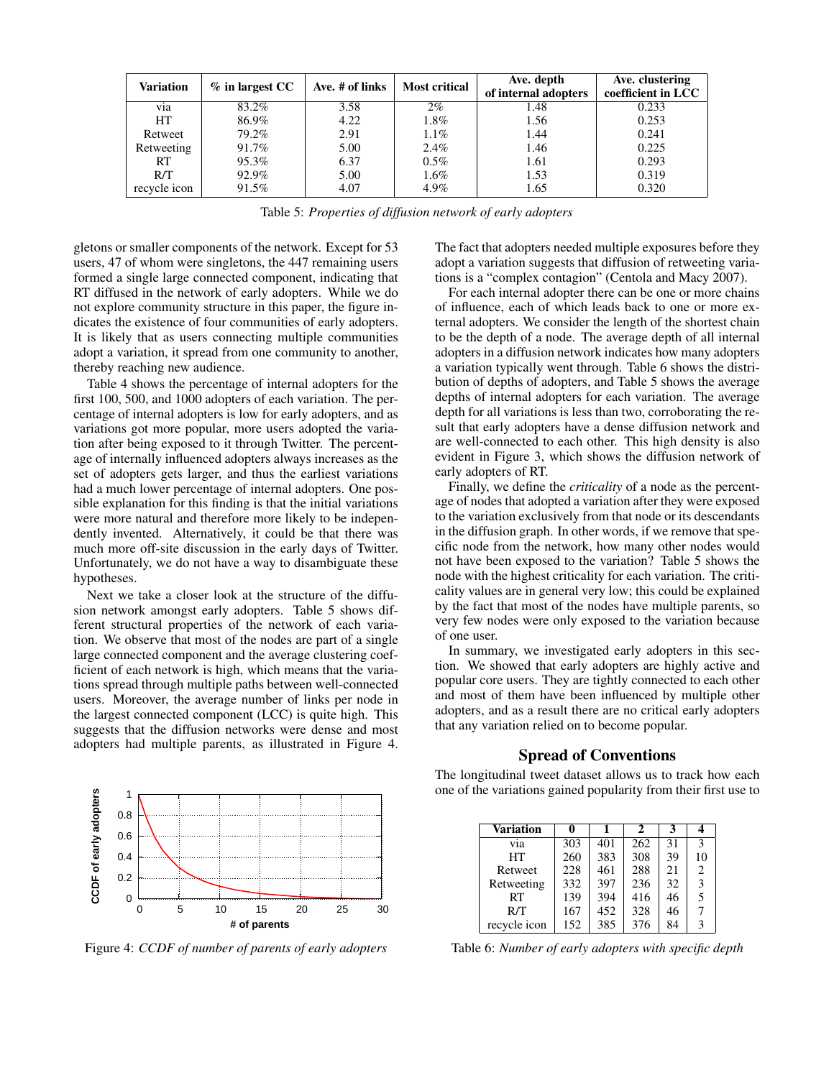| <b>Variation</b> | $%$ in largest CC | Ave. # of links | <b>Most critical</b> | Ave. depth<br>of internal adopters | Ave. clustering<br>coefficient in LCC |
|------------------|-------------------|-----------------|----------------------|------------------------------------|---------------------------------------|
| via              | 83.2%             | 3.58            | $2\%$                | 1.48                               | 0.233                                 |
| <b>HT</b>        | 86.9%             | 4.22            | 1.8%                 | 1.56                               | 0.253                                 |
| Retweet          | 79.2%             | 2.91            | $1.1\%$              | 1.44                               | 0.241                                 |
| Retweeting       | 91.7%             | 5.00            | 2.4%                 | 1.46                               | 0.225                                 |
| RT               | 95.3%             | 6.37            | $0.5\%$              | 1.61                               | 0.293                                 |
| R/T              | 92.9%             | 5.00            | $1.6\%$              | 1.53                               | 0.319                                 |
| recycle icon     | 91.5%             | 4.07            | 4.9%                 | 1.65                               | 0.320                                 |

Table 5: *Properties of diffusion network of early adopters*

gletons or smaller components of the network. Except for 53 users, 47 of whom were singletons, the 447 remaining users formed a single large connected component, indicating that RT diffused in the network of early adopters. While we do not explore community structure in this paper, the figure indicates the existence of four communities of early adopters. It is likely that as users connecting multiple communities adopt a variation, it spread from one community to another, thereby reaching new audience.

Table 4 shows the percentage of internal adopters for the first 100, 500, and 1000 adopters of each variation. The percentage of internal adopters is low for early adopters, and as variations got more popular, more users adopted the variation after being exposed to it through Twitter. The percentage of internally influenced adopters always increases as the set of adopters gets larger, and thus the earliest variations had a much lower percentage of internal adopters. One possible explanation for this finding is that the initial variations were more natural and therefore more likely to be independently invented. Alternatively, it could be that there was much more off-site discussion in the early days of Twitter. Unfortunately, we do not have a way to disambiguate these hypotheses.

Next we take a closer look at the structure of the diffusion network amongst early adopters. Table 5 shows different structural properties of the network of each variation. We observe that most of the nodes are part of a single large connected component and the average clustering coefficient of each network is high, which means that the variations spread through multiple paths between well-connected users. Moreover, the average number of links per node in the largest connected component (LCC) is quite high. This suggests that the diffusion networks were dense and most adopters had multiple parents, as illustrated in Figure 4.

The fact that adopters needed multiple exposures before they adopt a variation suggests that diffusion of retweeting variations is a "complex contagion" (Centola and Macy 2007).

For each internal adopter there can be one or more chains of influence, each of which leads back to one or more external adopters. We consider the length of the shortest chain to be the depth of a node. The average depth of all internal adopters in a diffusion network indicates how many adopters a variation typically went through. Table 6 shows the distribution of depths of adopters, and Table 5 shows the average depths of internal adopters for each variation. The average depth for all variations is less than two, corroborating the result that early adopters have a dense diffusion network and are well-connected to each other. This high density is also evident in Figure 3, which shows the diffusion network of early adopters of RT.

Finally, we define the *criticality* of a node as the percentage of nodes that adopted a variation after they were exposed to the variation exclusively from that node or its descendants in the diffusion graph. In other words, if we remove that specific node from the network, how many other nodes would not have been exposed to the variation? Table 5 shows the node with the highest criticality for each variation. The criticality values are in general very low; this could be explained by the fact that most of the nodes have multiple parents, so very few nodes were only exposed to the variation because of one user.

In summary, we investigated early adopters in this section. We showed that early adopters are highly active and popular core users. They are tightly connected to each other and most of them have been influenced by multiple other adopters, and as a result there are no critical early adopters that any variation relied on to become popular.



Figure 4: *CCDF of number of parents of early adopters*

#### Spread of Conventions

The longitudinal tweet dataset allows us to track how each one of the variations gained popularity from their first use to

| <b>Variation</b> |     |     | 2   |    |                |
|------------------|-----|-----|-----|----|----------------|
| via              | 303 | 401 | 262 | 31 | 3              |
| HT               | 260 | 383 | 308 | 39 | 10             |
| Retweet          | 228 | 461 | 288 | 21 | $\overline{c}$ |
| Retweeting       | 332 | 397 | 236 | 32 | 3              |
| RT               | 139 | 394 | 416 | 46 | 5              |
| R/T              | 167 | 452 | 328 | 46 | 7              |
| recycle icon     | 152 | 385 | 376 | 84 | 3              |

Table 6: *Number of early adopters with specific depth*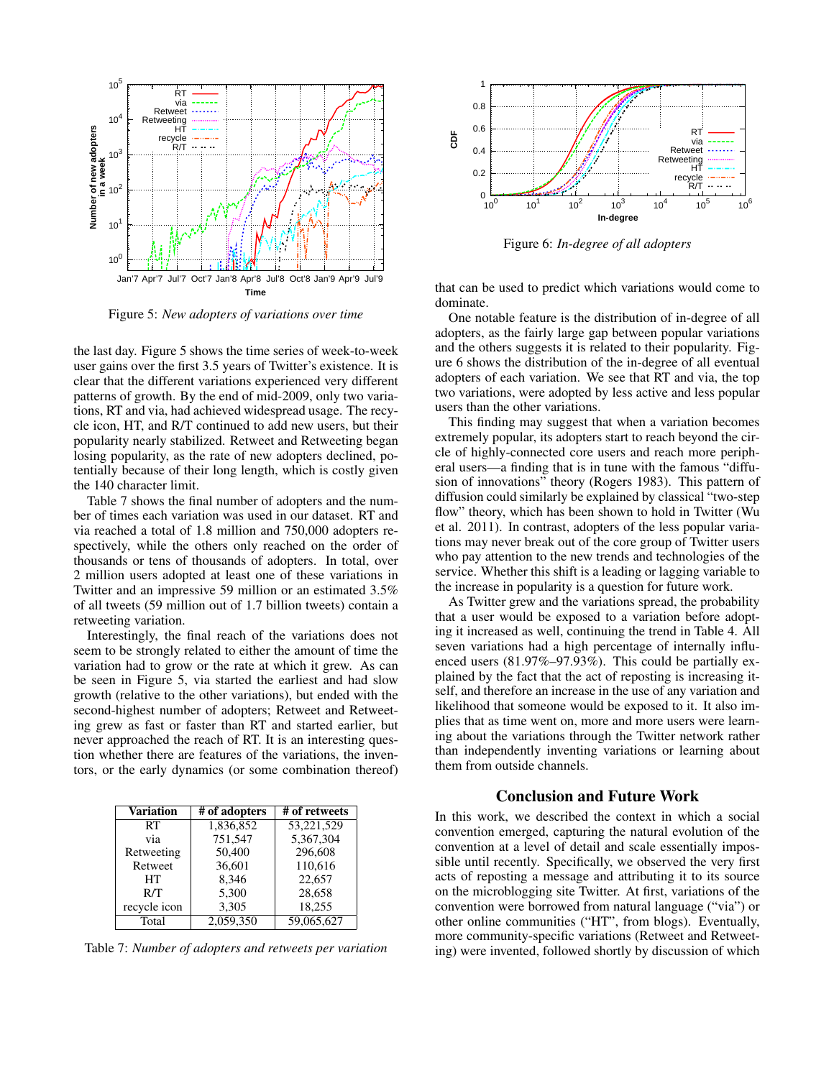

Figure 5: *New adopters of variations over time*

the last day. Figure 5 shows the time series of week-to-week user gains over the first 3.5 years of Twitter's existence. It is clear that the different variations experienced very different patterns of growth. By the end of mid-2009, only two variations, RT and via, had achieved widespread usage. The recycle icon, HT, and R/T continued to add new users, but their popularity nearly stabilized. Retweet and Retweeting began losing popularity, as the rate of new adopters declined, potentially because of their long length, which is costly given the 140 character limit.

Table 7 shows the final number of adopters and the number of times each variation was used in our dataset. RT and via reached a total of 1.8 million and 750,000 adopters respectively, while the others only reached on the order of thousands or tens of thousands of adopters. In total, over 2 million users adopted at least one of these variations in Twitter and an impressive 59 million or an estimated 3.5% of all tweets (59 million out of 1.7 billion tweets) contain a retweeting variation.

Interestingly, the final reach of the variations does not seem to be strongly related to either the amount of time the variation had to grow or the rate at which it grew. As can be seen in Figure 5, via started the earliest and had slow growth (relative to the other variations), but ended with the second-highest number of adopters; Retweet and Retweeting grew as fast or faster than RT and started earlier, but never approached the reach of RT. It is an interesting question whether there are features of the variations, the inventors, or the early dynamics (or some combination thereof)

| Variation    | # of adopters | # of retweets |  |
|--------------|---------------|---------------|--|
| RT           | 1,836,852     | 53,221,529    |  |
| via          | 751,547       | 5,367,304     |  |
| Retweeting   | 50,400        | 296,608       |  |
| Retweet      | 36,601        | 110,616       |  |
| HT           | 8.346         | 22.657        |  |
| R/T          | 5,300         | 28.658        |  |
| recycle icon | 3,305         | 18,255        |  |
| Total        | 2,059,350     | 59,065,627    |  |

Table 7: *Number of adopters and retweets per variation*



Figure 6: *In-degree of all adopters*

that can be used to predict which variations would come to dominate.

One notable feature is the distribution of in-degree of all adopters, as the fairly large gap between popular variations and the others suggests it is related to their popularity. Figure 6 shows the distribution of the in-degree of all eventual adopters of each variation. We see that RT and via, the top two variations, were adopted by less active and less popular users than the other variations.

This finding may suggest that when a variation becomes extremely popular, its adopters start to reach beyond the circle of highly-connected core users and reach more peripheral users—a finding that is in tune with the famous "diffusion of innovations" theory (Rogers 1983). This pattern of diffusion could similarly be explained by classical "two-step flow" theory, which has been shown to hold in Twitter (Wu et al. 2011). In contrast, adopters of the less popular variations may never break out of the core group of Twitter users who pay attention to the new trends and technologies of the service. Whether this shift is a leading or lagging variable to the increase in popularity is a question for future work.

As Twitter grew and the variations spread, the probability that a user would be exposed to a variation before adopting it increased as well, continuing the trend in Table 4. All seven variations had a high percentage of internally influenced users (81.97%–97.93%). This could be partially explained by the fact that the act of reposting is increasing itself, and therefore an increase in the use of any variation and likelihood that someone would be exposed to it. It also implies that as time went on, more and more users were learning about the variations through the Twitter network rather than independently inventing variations or learning about them from outside channels.

## Conclusion and Future Work

In this work, we described the context in which a social convention emerged, capturing the natural evolution of the convention at a level of detail and scale essentially impossible until recently. Specifically, we observed the very first acts of reposting a message and attributing it to its source on the microblogging site Twitter. At first, variations of the convention were borrowed from natural language ("via") or other online communities ("HT", from blogs). Eventually, more community-specific variations (Retweet and Retweeting) were invented, followed shortly by discussion of which